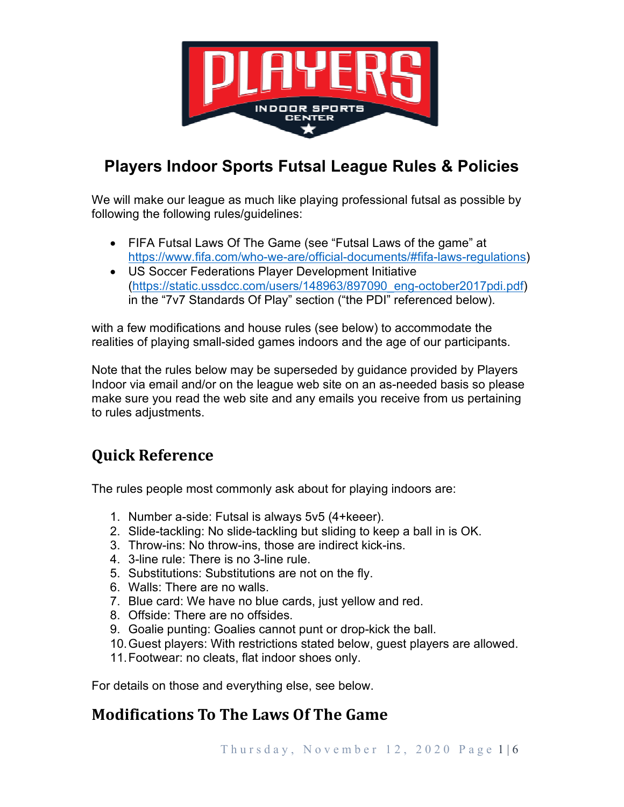

## **Players Indoor Sports Futsal League Rules & Policies**

We will make our league as much like playing professional futsal as possible by following the following rules/guidelines:

- FIFA Futsal Laws Of The Game (see "Futsal Laws of the game" at https://www.fifa.com/who-we-are/official-documents/#fifa-laws-regulations)
- US Soccer Federations Player Development Initiative (https://static.ussdcc.com/users/148963/897090\_eng-october2017pdi.pdf) in the "7v7 Standards Of Play" section ("the PDI" referenced below).

with a few modifications and house rules (see below) to accommodate the realities of playing small-sided games indoors and the age of our participants.

Note that the rules below may be superseded by guidance provided by Players Indoor via email and/or on the league web site on an as-needed basis so please make sure you read the web site and any emails you receive from us pertaining to rules adjustments.

# **Quick Reference**

The rules people most commonly ask about for playing indoors are:

- 1. Number a-side: Futsal is always 5v5 (4+keeer).
- 2. Slide-tackling: No slide-tackling but sliding to keep a ball in is OK.
- 3. Throw-ins: No throw-ins, those are indirect kick-ins.
- 4. 3-line rule: There is no 3-line rule.
- 5. Substitutions: Substitutions are not on the fly.
- 6. Walls: There are no walls.
- 7. Blue card: We have no blue cards, just yellow and red.
- 8. Offside: There are no offsides.
- 9. Goalie punting: Goalies cannot punt or drop-kick the ball.
- 10. Guest players: With restrictions stated below, guest players are allowed.
- 11. Footwear: no cleats, flat indoor shoes only.

For details on those and everything else, see below.

## **Modifications To The Laws Of The Game**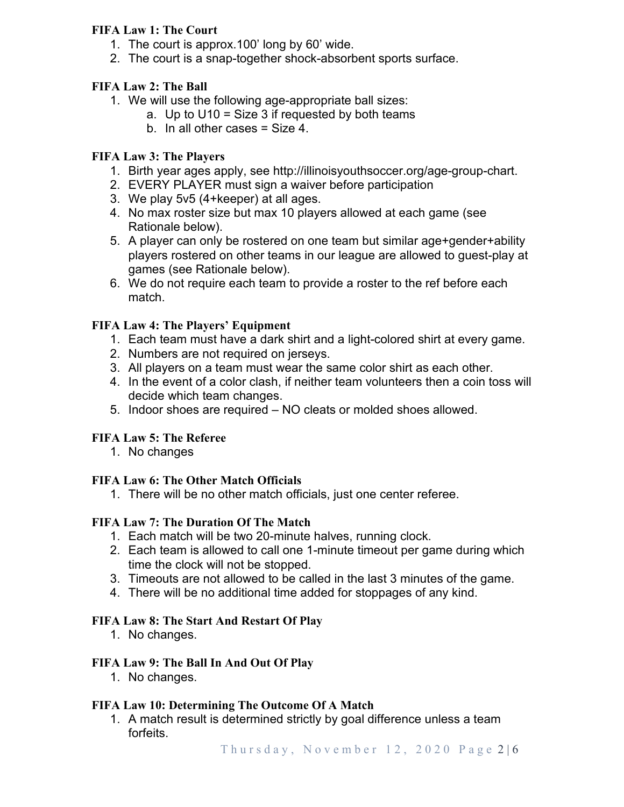## **FIFA Law 1: The Court**

- 1. The court is approx.100' long by 60' wide.
- 2. The court is a snap-together shock-absorbent sports surface.

## **FIFA Law 2: The Ball**

- 1. We will use the following age-appropriate ball sizes:
	- a. Up to  $U10 = Size 3$  if requested by both teams
		- b. In all other cases = Size 4.

### **FIFA Law 3: The Players**

- 1. Birth year ages apply, see http://illinoisyouthsoccer.org/age-group-chart.
- 2. EVERY PLAYER must sign a waiver before participation
- 3. We play 5v5 (4+keeper) at all ages.
- 4. No max roster size but max 10 players allowed at each game (see Rationale below).
- 5. A player can only be rostered on one team but similar age+gender+ability players rostered on other teams in our league are allowed to guest-play at games (see Rationale below).
- 6. We do not require each team to provide a roster to the ref before each match.

## **FIFA Law 4: The Players' Equipment**

- 1. Each team must have a dark shirt and a light-colored shirt at every game.
- 2. Numbers are not required on jerseys.
- 3. All players on a team must wear the same color shirt as each other.
- 4. In the event of a color clash, if neither team volunteers then a coin toss will decide which team changes.
- 5. Indoor shoes are required NO cleats or molded shoes allowed.

### **FIFA Law 5: The Referee**

1. No changes

### **FIFA Law 6: The Other Match Officials**

1. There will be no other match officials, just one center referee.

### **FIFA Law 7: The Duration Of The Match**

- 1. Each match will be two 20-minute halves, running clock.
- 2. Each team is allowed to call one 1-minute timeout per game during which time the clock will not be stopped.
- 3. Timeouts are not allowed to be called in the last 3 minutes of the game.
- 4. There will be no additional time added for stoppages of any kind.

### **FIFA Law 8: The Start And Restart Of Play**

1. No changes.

### **FIFA Law 9: The Ball In And Out Of Play**

1. No changes.

### **FIFA Law 10: Determining The Outcome Of A Match**

1. A match result is determined strictly by goal difference unless a team forfeits.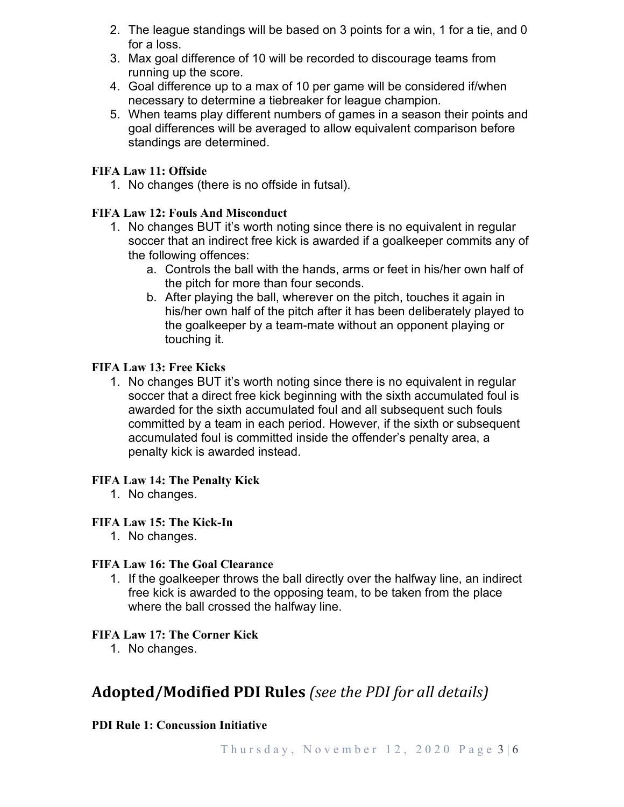- 2. The league standings will be based on 3 points for a win, 1 for a tie, and 0 for a loss.
- 3. Max goal difference of 10 will be recorded to discourage teams from running up the score.
- 4. Goal difference up to a max of 10 per game will be considered if/when necessary to determine a tiebreaker for league champion.
- 5. When teams play different numbers of games in a season their points and goal differences will be averaged to allow equivalent comparison before standings are determined.

## **FIFA Law 11: Offside**

1. No changes (there is no offside in futsal).

## **FIFA Law 12: Fouls And Misconduct**

- 1. No changes BUT it's worth noting since there is no equivalent in regular soccer that an indirect free kick is awarded if a goalkeeper commits any of the following offences:
	- a. Controls the ball with the hands, arms or feet in his/her own half of the pitch for more than four seconds.
	- b. After playing the ball, wherever on the pitch, touches it again in his/her own half of the pitch after it has been deliberately played to the goalkeeper by a team-mate without an opponent playing or touching it.

### **FIFA Law 13: Free Kicks**

1. No changes BUT it's worth noting since there is no equivalent in regular soccer that a direct free kick beginning with the sixth accumulated foul is awarded for the sixth accumulated foul and all subsequent such fouls committed by a team in each period. However, if the sixth or subsequent accumulated foul is committed inside the offender's penalty area, a penalty kick is awarded instead.

### **FIFA Law 14: The Penalty Kick**

1. No changes.

### **FIFA Law 15: The Kick-In**

1. No changes.

### **FIFA Law 16: The Goal Clearance**

1. If the goalkeeper throws the ball directly over the halfway line, an indirect free kick is awarded to the opposing team, to be taken from the place where the ball crossed the halfway line.

### **FIFA Law 17: The Corner Kick**

1. No changes.

## **Adopted/Modified PDI Rules** *(see the PDI for all details)*

## **PDI Rule 1: Concussion Initiative**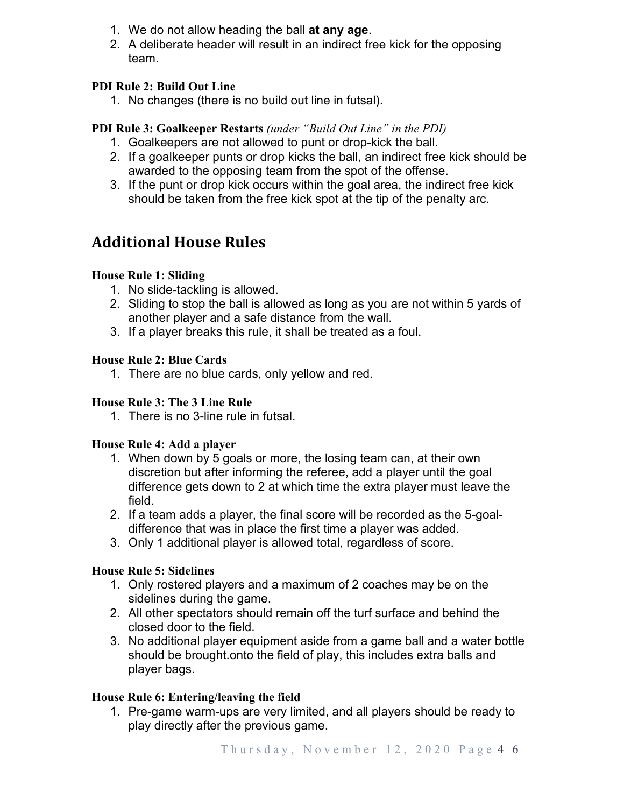- 1. We do not allow heading the ball **at any age**.
- 2. A deliberate header will result in an indirect free kick for the opposing team.

## **PDI Rule 2: Build Out Line**

1. No changes (there is no build out line in futsal).

## **PDI Rule 3: Goalkeeper Restarts** *(under "Build Out Line" in the PDI)*

- 1. Goalkeepers are not allowed to punt or drop-kick the ball.
- 2. If a goalkeeper punts or drop kicks the ball, an indirect free kick should be awarded to the opposing team from the spot of the offense.
- 3. If the punt or drop kick occurs within the goal area, the indirect free kick should be taken from the free kick spot at the tip of the penalty arc.

## **Additional House Rules**

## **House Rule 1: Sliding**

- 1. No slide-tackling is allowed.
- 2. Sliding to stop the ball is allowed as long as you are not within 5 yards of another player and a safe distance from the wall.
- 3. If a player breaks this rule, it shall be treated as a foul.

## **House Rule 2: Blue Cards**

1. There are no blue cards, only yellow and red.

## **House Rule 3: The 3 Line Rule**

1. There is no 3-line rule in futsal.

### **House Rule 4: Add a player**

- 1. When down by 5 goals or more, the losing team can, at their own discretion but after informing the referee, add a player until the goal difference gets down to 2 at which time the extra player must leave the field.
- 2. If a team adds a player, the final score will be recorded as the 5-goaldifference that was in place the first time a player was added.
- 3. Only 1 additional player is allowed total, regardless of score.

## **House Rule 5: Sidelines**

- 1. Only rostered players and a maximum of 2 coaches may be on the sidelines during the game.
- 2. All other spectators should remain off the turf surface and behind the closed door to the field.
- 3. No additional player equipment aside from a game ball and a water bottle should be brought.onto the field of play, this includes extra balls and player bags.

### **House Rule 6: Entering/leaving the field**

1. Pre-game warm-ups are very limited, and all players should be ready to play directly after the previous game.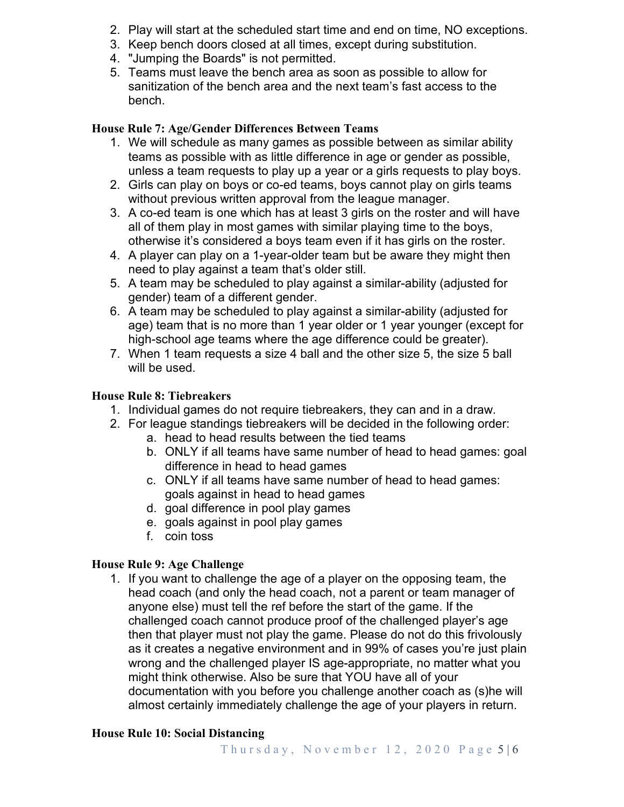- 2. Play will start at the scheduled start time and end on time, NO exceptions.
- 3. Keep bench doors closed at all times, except during substitution.
- 4. "Jumping the Boards" is not permitted.
- 5. Teams must leave the bench area as soon as possible to allow for sanitization of the bench area and the next team's fast access to the bench.

## **House Rule 7: Age/Gender Differences Between Teams**

- 1. We will schedule as many games as possible between as similar ability teams as possible with as little difference in age or gender as possible, unless a team requests to play up a year or a girls requests to play boys.
- 2. Girls can play on boys or co-ed teams, boys cannot play on girls teams without previous written approval from the league manager.
- 3. A co-ed team is one which has at least 3 girls on the roster and will have all of them play in most games with similar playing time to the boys, otherwise it's considered a boys team even if it has girls on the roster.
- 4. A player can play on a 1-year-older team but be aware they might then need to play against a team that's older still.
- 5. A team may be scheduled to play against a similar-ability (adjusted for gender) team of a different gender.
- 6. A team may be scheduled to play against a similar-ability (adjusted for age) team that is no more than 1 year older or 1 year younger (except for high-school age teams where the age difference could be greater).
- 7. When 1 team requests a size 4 ball and the other size 5, the size 5 ball will be used.

## **House Rule 8: Tiebreakers**

- 1. Individual games do not require tiebreakers, they can and in a draw.
- 2. For league standings tiebreakers will be decided in the following order:
	- a. head to head results between the tied teams
	- b. ONLY if all teams have same number of head to head games: goal difference in head to head games
	- c. ONLY if all teams have same number of head to head games: goals against in head to head games
	- d. goal difference in pool play games
	- e. goals against in pool play games
	- f. coin toss

### **House Rule 9: Age Challenge**

1. If you want to challenge the age of a player on the opposing team, the head coach (and only the head coach, not a parent or team manager of anyone else) must tell the ref before the start of the game. If the challenged coach cannot produce proof of the challenged player's age then that player must not play the game. Please do not do this frivolously as it creates a negative environment and in 99% of cases you're just plain wrong and the challenged player IS age-appropriate, no matter what you might think otherwise. Also be sure that YOU have all of your documentation with you before you challenge another coach as (s)he will almost certainly immediately challenge the age of your players in return.

### **House Rule 10: Social Distancing**